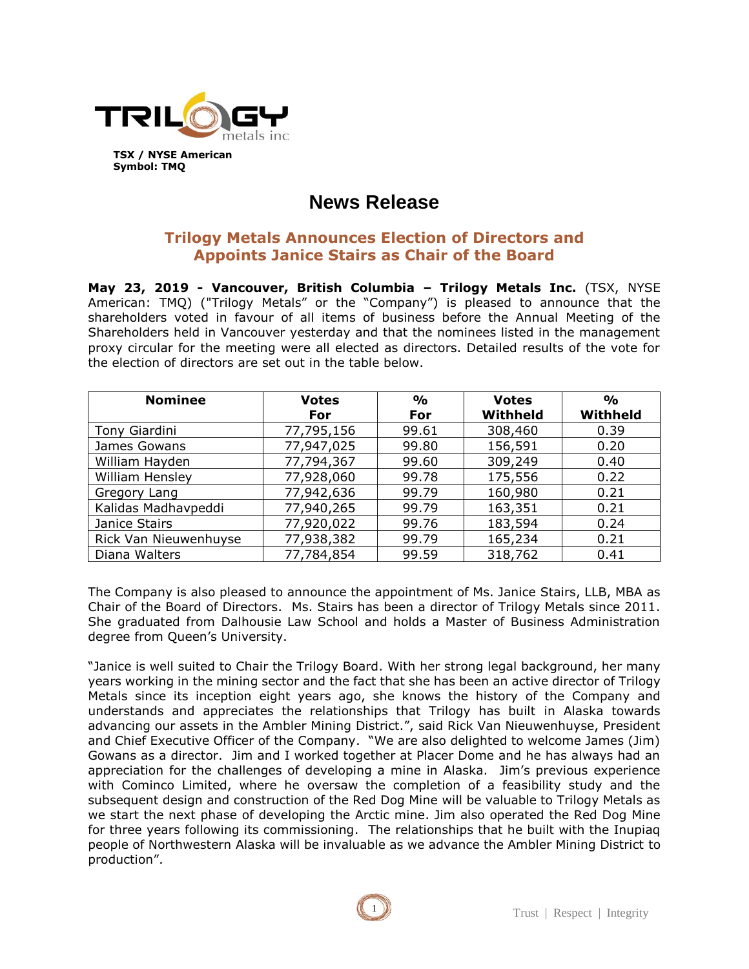

## **News Release**

## **Trilogy Metals Announces Election of Directors and Appoints Janice Stairs as Chair of the Board**

**May 23, 2019 - Vancouver, British Columbia – Trilogy Metals Inc.** (TSX, NYSE American: TMQ) ("Trilogy Metals" or the "Company") is pleased to announce that the shareholders voted in favour of all items of business before the Annual Meeting of the Shareholders held in Vancouver yesterday and that the nominees listed in the management proxy circular for the meeting were all elected as directors. Detailed results of the vote for the election of directors are set out in the table below.

| <b>Nominee</b>        | <b>Votes</b> | $\frac{0}{0}$ | <b>Votes</b> | $\frac{O}{O}$ |
|-----------------------|--------------|---------------|--------------|---------------|
|                       | For          | For           | Withheld     | Withheld      |
| Tony Giardini         | 77,795,156   | 99.61         | 308,460      | 0.39          |
| James Gowans          | 77,947,025   | 99.80         | 156,591      | 0.20          |
| William Hayden        | 77,794,367   | 99.60         | 309,249      | 0.40          |
| William Hensley       | 77,928,060   | 99.78         | 175,556      | 0.22          |
| Gregory Lang          | 77,942,636   | 99.79         | 160,980      | 0.21          |
| Kalidas Madhavpeddi   | 77,940,265   | 99.79         | 163,351      | 0.21          |
| Janice Stairs         | 77,920,022   | 99.76         | 183,594      | 0.24          |
| Rick Van Nieuwenhuyse | 77,938,382   | 99.79         | 165,234      | 0.21          |
| Diana Walters         | 77,784,854   | 99.59         | 318,762      | 0.41          |

The Company is also pleased to announce the appointment of Ms. Janice Stairs, LLB, MBA as Chair of the Board of Directors. Ms. Stairs has been a director of Trilogy Metals since 2011. She graduated from Dalhousie Law School and holds a Master of Business Administration degree from Queen's University.

"Janice is well suited to Chair the Trilogy Board. With her strong legal background, her many years working in the mining sector and the fact that she has been an active director of Trilogy Metals since its inception eight years ago, she knows the history of the Company and understands and appreciates the relationships that Trilogy has built in Alaska towards advancing our assets in the Ambler Mining District.", said Rick Van Nieuwenhuyse, President and Chief Executive Officer of the Company. "We are also delighted to welcome James (Jim) Gowans as a director. Jim and I worked together at Placer Dome and he has always had an appreciation for the challenges of developing a mine in Alaska. Jim's previous experience with Cominco Limited, where he oversaw the completion of a feasibility study and the subsequent design and construction of the Red Dog Mine will be valuable to Trilogy Metals as we start the next phase of developing the Arctic mine. Jim also operated the Red Dog Mine for three years following its commissioning. The relationships that he built with the Inupiaq people of Northwestern Alaska will be invaluable as we advance the Ambler Mining District to production".